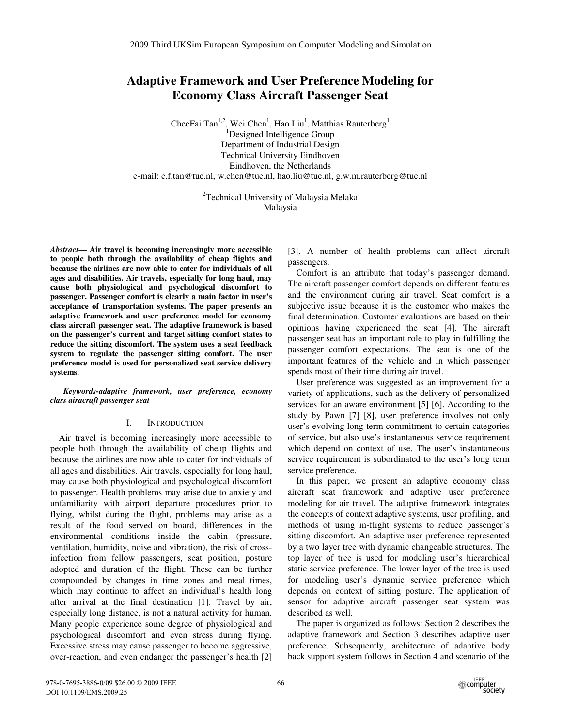# **Adaptive Framework and User Preference Modeling for Economy Class Aircraft Passenger Seat**

CheeFai Tan<sup>1,2</sup>, Wei Chen<sup>1</sup>, Hao Liu<sup>1</sup>, Matthias Rauterberg<sup>1</sup> <sup>1</sup>Designed Intelligence Group Department of Industrial Design Technical University Eindhoven Eindhoven, the Netherlands e-mail: c.f.tan@tue.nl, w.chen@tue.nl, hao.liu@tue.nl, g.w.m.rauterberg@tue.nl

> <sup>2</sup>Technical University of Malaysia Melaka Malaysia

*Abstract***— Air travel is becoming increasingly more accessible to people both through the availability of cheap flights and because the airlines are now able to cater for individuals of all ages and disabilities. Air travels, especially for long haul, may cause both physiological and psychological discomfort to passenger. Passenger comfort is clearly a main factor in user's acceptance of transportation systems. The paper presents an adaptive framework and user preference model for economy class aircraft passenger seat. The adaptive framework is based on the passenger's current and target sitting comfort states to reduce the sitting discomfort. The system uses a seat feedback system to regulate the passenger sitting comfort. The user preference model is used for personalized seat service delivery systems.** 

# *Keywords-adaptive framework, user preference, economy class airacraft passenger seat*

# I. INTRODUCTION

Air travel is becoming increasingly more accessible to people both through the availability of cheap flights and because the airlines are now able to cater for individuals of all ages and disabilities. Air travels, especially for long haul, may cause both physiological and psychological discomfort to passenger. Health problems may arise due to anxiety and unfamiliarity with airport departure procedures prior to flying, whilst during the flight, problems may arise as a result of the food served on board, differences in the environmental conditions inside the cabin (pressure, ventilation, humidity, noise and vibration), the risk of crossinfection from fellow passengers, seat position, posture adopted and duration of the flight. These can be further compounded by changes in time zones and meal times, which may continue to affect an individual's health long after arrival at the final destination [1]. Travel by air, especially long distance, is not a natural activity for human. Many people experience some degree of physiological and psychological discomfort and even stress during flying. Excessive stress may cause passenger to become aggressive, over-reaction, and even endanger the passenger's health [2]

[3]. A number of health problems can affect aircraft passengers.

Comfort is an attribute that today's passenger demand. The aircraft passenger comfort depends on different features and the environment during air travel. Seat comfort is a subjective issue because it is the customer who makes the final determination. Customer evaluations are based on their opinions having experienced the seat [4]. The aircraft passenger seat has an important role to play in fulfilling the passenger comfort expectations. The seat is one of the important features of the vehicle and in which passenger spends most of their time during air travel.

User preference was suggested as an improvement for a variety of applications, such as the delivery of personalized services for an aware environment [5] [6]. According to the study by Pawn [7] [8], user preference involves not only user's evolving long-term commitment to certain categories of service, but also use's instantaneous service requirement which depend on context of use. The user's instantaneous service requirement is subordinated to the user's long term service preference.

In this paper, we present an adaptive economy class aircraft seat framework and adaptive user preference modeling for air travel. The adaptive framework integrates the concepts of context adaptive systems, user profiling, and methods of using in-flight systems to reduce passenger's sitting discomfort. An adaptive user preference represented by a two layer tree with dynamic changeable structures. The top layer of tree is used for modeling user's hierarchical static service preference. The lower layer of the tree is used for modeling user's dynamic service preference which depends on context of sitting posture. The application of sensor for adaptive aircraft passenger seat system was described as well.

The paper is organized as follows: Section 2 describes the adaptive framework and Section 3 describes adaptive user preference. Subsequently, architecture of adaptive body back support system follows in Section 4 and scenario of the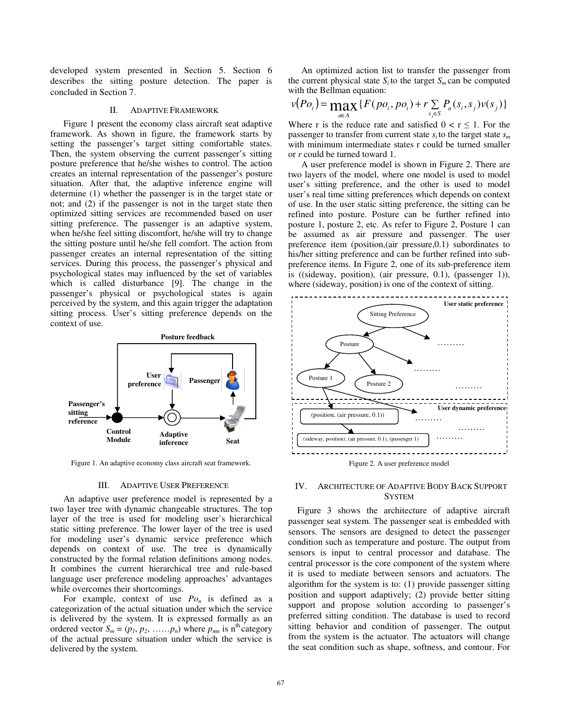developed system presented in Section 5. Section 6 describes the sitting posture detection. The paper is concluded in Section 7.

#### II. ADAPTIVE FRAMEWORK

Figure 1 present the economy class aircraft seat adaptive framework. As shown in figure, the framework starts by setting the passenger's target sitting comfortable states. Then, the system observing the current passenger's sitting posture preference that he/she wishes to control. The action creates an internal representation of the passenger's posture situation. After that, the adaptive inference engine will determine (1) whether the passenger is in the target state or not; and (2) if the passenger is not in the target state then optimized sitting services are recommended based on user sitting preference. The passenger is an adaptive system, when he/she feel sitting discomfort, he/she will try to change the sitting posture until he/she fell comfort. The action from passenger creates an internal representation of the sitting services. During this process, the passenger's physical and psychological states may influenced by the set of variables which is called disturbance [9]. The change in the passenger's physical or psychological states is again perceived by the system, and this again trigger the adaptation sitting process. User's sitting preference depends on the context of use.



Figure 1. An adaptive economy class aircraft seat framework.

### III. ADAPTIVE USER PREFERENCE

An adaptive user preference model is represented by a two layer tree with dynamic changeable structures. The top layer of the tree is used for modeling user's hierarchical static sitting preference. The lower layer of the tree is used for modeling user's dynamic service preference which depends on context of use. The tree is dynamically constructed by the formal relation definitions among nodes. It combines the current hierarchical tree and rule-based language user preference modeling approaches' advantages while overcomes their shortcomings.

For example, context of use  $Po_n$  is defined as a categorization of the actual situation under which the service is delivered by the system. It is expressed formally as an ordered vector  $S_m = (p_1, p_2, \ldots, p_n)$  where  $p_{mn}$  is n<sup>th</sup> category of the actual pressure situation under which the service is delivered by the system.

An optimized action list to transfer the passenger from the current physical state  $S_i$  to the target  $S_m$  can be computed with the Bellman equation:

$$
v(Po_i) = \max_{a \in A} \{ F(po_i, po_i) + r \sum_{s_j \in S} P_a(s_i, s_j) v(s_j) \}
$$

Where r is the reduce rate and satisfied  $0 < r \le 1$ . For the passenger to transfer from current state  $s_i$  to the target state  $s_m$ with minimum intermediate states r could be turned smaller or *r* could be turned toward 1.

A user preference model is shown in Figure 2. There are two layers of the model, where one model is used to model user's sitting preference, and the other is used to model user's real time sitting preferences which depends on context of use. In the user static sitting preference, the sitting can be refined into posture. Posture can be further refined into posture 1, posture 2, etc. As refer to Figure 2, Posture 1 can be assumed as air pressure and passenger. The user preference item (position,(air pressure,0.1) subordinates to his/her sitting preference and can be further refined into subpreference items. In Figure 2, one of its sub-preference item is ((sideway, position), (air pressure, 0.1), (passenger 1)), where (sideway, position) is one of the context of sitting.



Figure 2. A user preference model

### IV. ARCHITECTURE OF ADAPTIVE BODY BACK SUPPORT **SYSTEM**

Figure 3 shows the architecture of adaptive aircraft passenger seat system. The passenger seat is embedded with sensors. The sensors are designed to detect the passenger condition such as temperature and posture. The output from sensors is input to central processor and database. The central processor is the core component of the system where it is used to mediate between sensors and actuators. The algorithm for the system is to: (1) provide passenger sitting position and support adaptively; (2) provide better sitting support and propose solution according to passenger's preferred sitting condition. The database is used to record sitting behavior and condition of passenger. The output from the system is the actuator. The actuators will change the seat condition such as shape, softness, and contour. For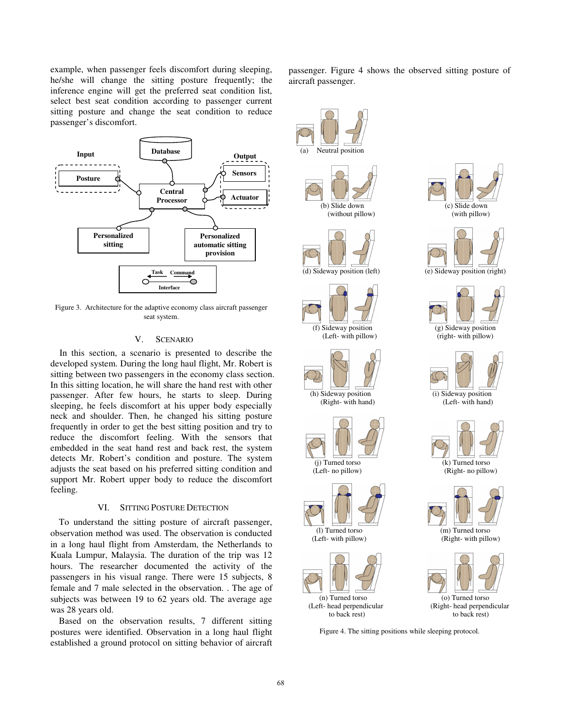example, when passenger feels discomfort during sleeping, he/she will change the sitting posture frequently; the inference engine will get the preferred seat condition list, select best seat condition according to passenger current sitting posture and change the seat condition to reduce passenger's discomfort.



Figure 3. Architecture for the adaptive economy class aircraft passenger seat system.

## V. SCENARIO

In this section, a scenario is presented to describe the developed system. During the long haul flight, Mr. Robert is sitting between two passengers in the economy class section. In this sitting location, he will share the hand rest with other passenger. After few hours, he starts to sleep. During sleeping, he feels discomfort at his upper body especially neck and shoulder. Then, he changed his sitting posture frequently in order to get the best sitting position and try to reduce the discomfort feeling. With the sensors that embedded in the seat hand rest and back rest, the system detects Mr. Robert's condition and posture. The system adjusts the seat based on his preferred sitting condition and support Mr. Robert upper body to reduce the discomfort feeling.

#### VI. SITTING POSTURE DETECTION

To understand the sitting posture of aircraft passenger, observation method was used. The observation is conducted in a long haul flight from Amsterdam, the Netherlands to Kuala Lumpur, Malaysia. The duration of the trip was 12 hours. The researcher documented the activity of the passengers in his visual range. There were 15 subjects, 8 female and 7 male selected in the observation. . The age of subjects was between 19 to 62 years old. The average age was 28 years old.

Based on the observation results, 7 different sitting postures were identified. Observation in a long haul flight established a ground protocol on sitting behavior of aircraft passenger. Figure 4 shows the observed sitting posture of aircraft passenger.













(Right- no pillow)



(Right- with pillow)



(Right- head perpendicular

Figure 4. The sitting positions while sleeping protocol.